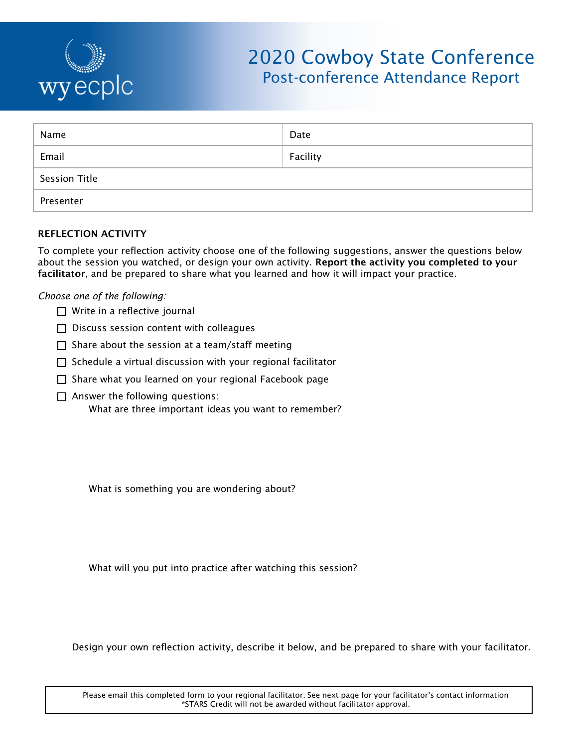

# 2020 Cowboy State Conference Post-conference Attendance Report

| Name          | Date     |
|---------------|----------|
| Email         | Facility |
| Session Title |          |
| Presenter     |          |

## **REFLECTION ACTIVITY**

To complete your reflection activity choose one of the following suggestions, answer the questions below about the session you watched, or design your own activity. **Report the activity you completed to your facilitator**, and be prepared to share what you learned and how it will impact your practice.

## *Choose one of the following:*

- □ Write in a reflective journal
- $\Box$  Discuss session content with colleagues
- $\Box$  Share about the session at a team/staff meeting
- $\Box$  Schedule a virtual discussion with your regional facilitator
- $\Box$  Share what you learned on your regional Facebook page
- $\Box$  Answer the following questions:
	- What are three important ideas you want to remember?

What is something you are wondering about?

What will you put into practice after watching this session?

Design your own reflection activity, describe it below, and be prepared to share with your facilitator.

Please email this completed form to your regional facilitator. See next page for your facilitator's contact information \*STARS Credit will not be awarded without facilitator approval.